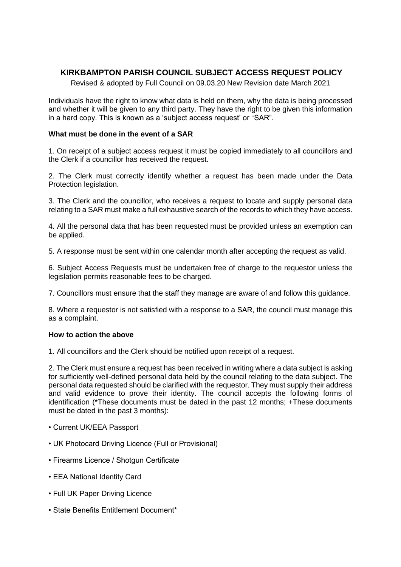## **KIRKBAMPTON PARISH COUNCIL SUBJECT ACCESS REQUEST POLICY**

Revised & adopted by Full Council on 09.03.20 New Revision date March 2021

Individuals have the right to know what data is held on them, why the data is being processed and whether it will be given to any third party. They have the right to be given this information in a hard copy. This is known as a 'subject access request' or "SAR".

## **What must be done in the event of a SAR**

1. On receipt of a subject access request it must be copied immediately to all councillors and the Clerk if a councillor has received the request.

2. The Clerk must correctly identify whether a request has been made under the Data Protection legislation.

3. The Clerk and the councillor, who receives a request to locate and supply personal data relating to a SAR must make a full exhaustive search of the records to which they have access.

4. All the personal data that has been requested must be provided unless an exemption can be applied.

5. A response must be sent within one calendar month after accepting the request as valid.

6. Subject Access Requests must be undertaken free of charge to the requestor unless the legislation permits reasonable fees to be charged.

7. Councillors must ensure that the staff they manage are aware of and follow this guidance.

8. Where a requestor is not satisfied with a response to a SAR, the council must manage this as a complaint.

## **How to action the above**

1. All councillors and the Clerk should be notified upon receipt of a request.

2. The Clerk must ensure a request has been received in writing where a data subject is asking for sufficiently well-defined personal data held by the council relating to the data subject. The personal data requested should be clarified with the requestor. They must supply their address and valid evidence to prove their identity. The council accepts the following forms of identification (\*These documents must be dated in the past 12 months; +These documents must be dated in the past 3 months):

- Current UK/EEA Passport
- UK Photocard Driving Licence (Full or Provisional)
- Firearms Licence / Shotgun Certificate
- EEA National Identity Card
- Full UK Paper Driving Licence
- State Benefits Entitlement Document\*